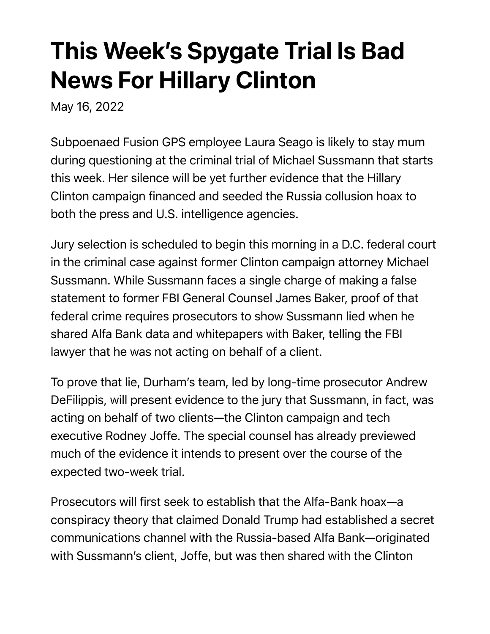## This Week's Spygate Trial Is Bad News For Hillary Clinton

May 16, 2022

Subpoenaed Fusion GPS employee Laura Seago is likely to stay mum during questioning at the criminal trial of Michael Sussmann that starts this week. Her silence will be yet further evidence that the Hillary Clinton campaign financed and seeded the Russia collusion hoax to both the press and U.S. intelligence agencies.

Jury selection is scheduled to begin this morning in a D.C. federal court in the criminal case against former Clinton campaign attorney Michael Sussmann. While Sussmann faces a single charge of making a false statement to former FBI General Counsel James Baker, proof of that federal crime requires prosecutors to show Sussmann lied when he shared Alfa Bank data and whitepapers with Baker, telling the FBI lawyer that he was not acting on behalf of a client.

To prove that lie, Durham's team, led by long-time prosecutor Andrew DeFilippis, will present evidence to the jury that Sussmann, in fact, was acting on behalf of two clients—the Clinton campaign and tech executive Rodney Joffe. The special counsel has already previewed much of the evidence it intends to present over the course of the expected two-week trial.

Prosecutors will first seek to establish that the Alfa-Bank hoax—a conspiracy theory that claimed Donald Trump had established a secret communications channel with the Russia-based Alfa Bank—originated with Sussmann's client, Joffe, but was then shared with the Clinton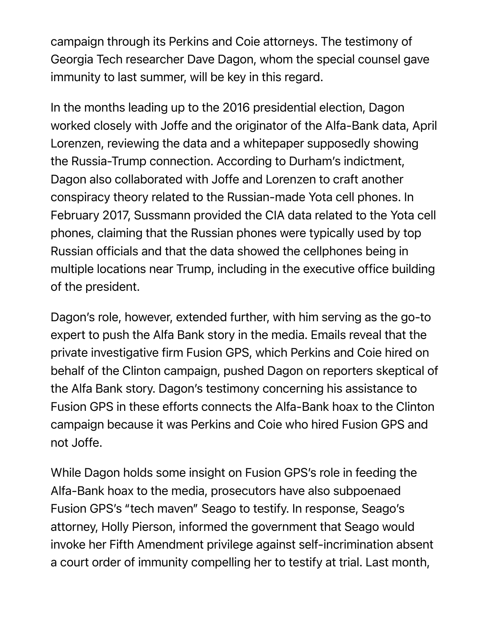campaign through its Perkins and Coie attorneys. The testimony of Georgia Tech researcher Dave Dagon, whom the special counsel gave immunity to last summer, will be key in this regard.

In the months leading up to the 2016 presidential election, Dagon worked closely with Joffe and the originator of the Alfa-Bank data, April Lorenzen, reviewing the data and a whitepaper supposedly showing the Russia-Trump connection. According to Durham's indictment, Dagon also collaborated with Joffe and Lorenzen to craft another conspiracy theory related to the Russian-made Yota cell phones. In February 2017, Sussmann provided the CIA data related to the Yota cell phones, claiming that the Russian phones were typically used by top Russian officials and that the data showed the cellphones being in multiple locations near Trump, including in the executive office building of the president.

Dagon's role, however, extended further, with him serving as the go-to expert to push the Alfa Bank story in the media. Emails reveal that the private investigative firm Fusion GPS, which Perkins and Coie hired on behalf of the Clinton campaign, pushed Dagon on reporters skeptical of the Alfa Bank story. Dagon's testimony concerning his assistance to Fusion GPS in these efforts connects the Alfa-Bank hoax to the Clinton campaign because it was Perkins and Coie who hired Fusion GPS and not Joffe.

While Dagon holds some insight on Fusion GPS's role in feeding the Alfa-Bank hoax to the media, prosecutors have also subpoenaed Fusion GPS's "tech maven" Seago to testify. In response, Seago's attorney, Holly Pierson, informed the government that Seago would invoke her Fifth Amendment privilege against self-incrimination absent a court order of immunity compelling her to testify at trial. Last month,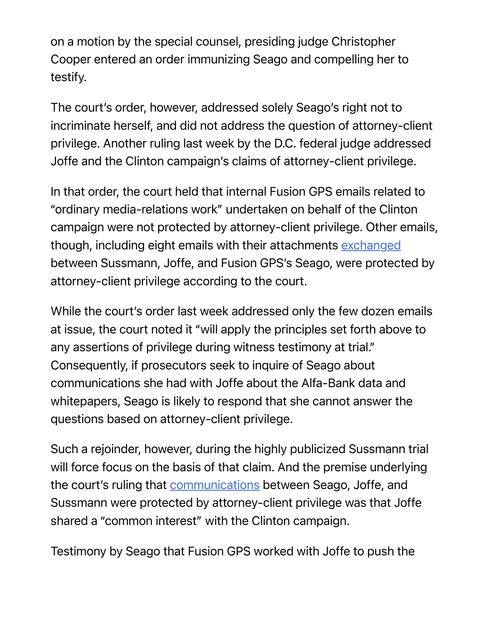on a motion by the special counsel, presiding judge Christopher Cooper entered an order immunizing Seago and compelling her to testify.

The court's order, however, addressed solely Seago's right not to incriminate herself, and did not address the question of attorney-client privilege. Another ruling last week by the D.C. federal judge addressed Joffe and the Clinton campaign's claims of attorney-client privilege.

In that order, the court held that internal Fusion GPS emails related to "ordinary media-relations work" undertaken on behalf of the Clinton campaign were not protected by attorney-client privilege. Other emails, though, including eight emails with their attachments exchanged between Sussmann, Joffe, and Fusion GPS's Seago, were protected by attorney-client privilege according to the court.

While the court's order last week addressed only the few dozen emails at issue, the court noted it "will apply the principles set forth above to any assertions of privilege during witness testimony at trial." Consequently, if prosecutors seek to inquire of Seago about communications she had with Joffe about the Alfa-Bank data and whitepapers, Seago is likely to respond that she cannot answer the questions based on attorney-client privilege.

Such a rejoinder, however, during the highly publicized Sussmann trial will force focus on the basis of that claim. And the premise underlying the court's ruling that communications between Seago, Joffe, and Sussmann were protected by attorney-client privilege was that Joffe shared a "common interest" with the Clinton campaign.

Testimony by Seago that Fusion GPS worked with Joffe to push the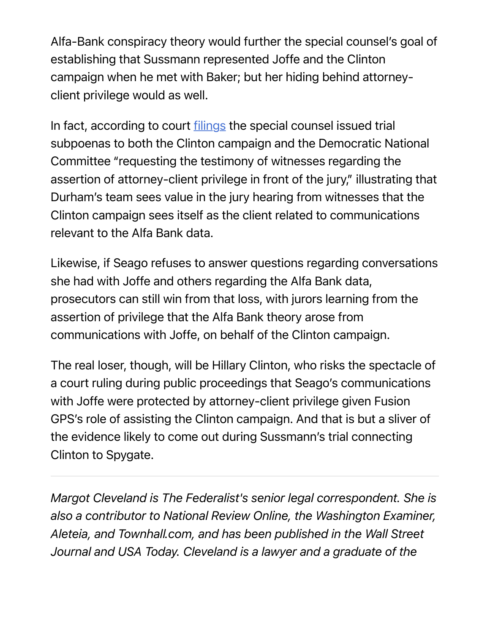Alfa-Bank conspiracy theory would further the special counsel's goal of establishing that Sussmann represented Joffe and the Clinton campaign when he met with Baker; but her hiding behind attorneyclient privilege would as well.

In fact, according to court *filings* the special counsel issued trial subpoenas to both the Clinton campaign and the Democratic National Committee "requesting the testimony of witnesses regarding the assertion of attorney-client privilege in front of the jury," illustrating that Durham's team sees value in the jury hearing from witnesses that the Clinton campaign sees itself as the client related to communications relevant to the Alfa Bank data.

Likewise, if Seago refuses to answer questions regarding conversations she had with Joffe and others regarding the Alfa Bank data, prosecutors can still win from that loss, with jurors learning from the assertion of privilege that the Alfa Bank theory arose from communications with Joffe, on behalf of the Clinton campaign.

The real loser, though, will be Hillary Clinton, who risks the spectacle of a court ruling during public proceedings that Seago's communications with Joffe were protected by attorney-client privilege given Fusion GPS's role of assisting the Clinton campaign. And that is but a sliver of the evidence likely to come out during Sussmann's trial connecting Clinton to Spygate.

*Margot Cleveland is The Federalist's senior legal correspondent. She is also a contributor to National Review Online, the Washington Examiner, Aleteia, and Townhall.com, and has been published in the Wall Street Journal and USA Today. Cleveland is a lawyer and a graduate of the*